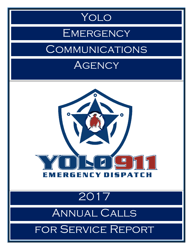

#### EMERGENCY

#### **COMMUNICATIONS**

#### **AGENCY**



### 2017

## Annual Calls

#### for Service Report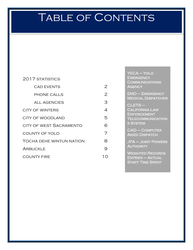## TABLE OF CONTENTS

| 2017 STATISTICS                |                |
|--------------------------------|----------------|
| <b>CAD EVENTS</b>              | 2              |
| <b>PHONE CALLS</b>             | $\overline{2}$ |
| ALL AGENCIES                   | З              |
| <b>CITY OF WINTERS</b>         | 4              |
| <b>CITY OF WOODLAND</b>        | 5              |
| <b>CITY OF WEST SACRAMENTO</b> | 6              |
| <b>COUNTY OF YOLO</b>          | 7              |
| YOCHA DEHE WINTUN NATION       | 8              |
| ARBUCKLE                       | 9              |
| COUNTY FIRE                    |                |

YECA – Yolo **EMERGENCY COMMUNICATIONS AGENCY** 

EMD – Emergency **MEDICAL DISPATCHER** 

CLETS – California Law **ENFORCEMENT TELECOMMUNICATION** s System

CAD – Computer Aided Dispatch

JPA – Joint Powers **AUTHORITY** 

Weighted Records Entries – Actual **STAFF TIME SPENT**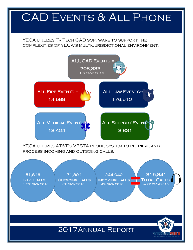### <span id="page-2-0"></span>CAD EVENTS & ALL PHONE

YECA UTILIZES TRITECH CAD SOFTWARE TO SUPPORT THE complexities of YECA's multi-jurisdictional environment.



YECA utilizes AT&T's VESTA phone system to retrieve and process incoming and outgoing calls.

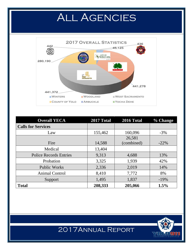## ALL AGENCIES

<span id="page-3-0"></span>

| <b>Overall YECA</b>           | 2017 Total | 2016 Total | % Change |
|-------------------------------|------------|------------|----------|
| <b>Calls for Services</b>     |            |            |          |
| Law                           | 155,462    | 160,096    | $-3\%$   |
|                               |            | 26,581     |          |
| Fire                          | 14,588     | (combined) | $-22\%$  |
| Medical                       | 13,404     |            |          |
| <b>Police Records Entries</b> | 9,313      | 4,688      | 13%      |
| Probation                     | 3,325      | 1,939      | 42%      |
| <b>Public Works</b>           | 2,336      | 2,019      | 14%      |
| <b>Animal Control</b>         | 8,410      | 7,772      | 8%       |
| Support                       | 1,495      | 1,837      | $-19%$   |
| <b>Total</b>                  | 208,333    | 205,066    | 1.5%     |

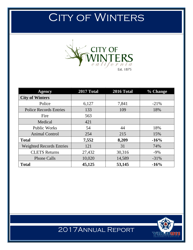## <span id="page-4-0"></span>CITY OF WINTERS



| <b>Agency</b>                   | 2017 Total | <b>2016 Total</b> | $\%$ Change |
|---------------------------------|------------|-------------------|-------------|
| <b>City of Winters</b>          |            |                   |             |
| Police                          | 6,127      | 7,841             | $-21%$      |
| <b>Police Records Entries</b>   | 133        | 109               | 18%         |
| Fire                            | 563        |                   |             |
| Medical                         | 421        |                   |             |
| <b>Public Works</b>             | 54         | 44                | 18%         |
| <b>Animal Control</b>           | 254        | 215               | 15%         |
| <b>Total</b>                    | 7,552      | 8,209             | $-16%$      |
| <b>Weighted Records Entries</b> | 121        | 31                | 74%         |
| <b>CLETS</b> Returns            | 27,432     | 30,316            | $-9\%$      |
| <b>Phone Calls</b>              | 10,020     | 14,589            | $-31\%$     |
| <b>Total</b>                    | 45,125     | 53,145            | $-16%$      |

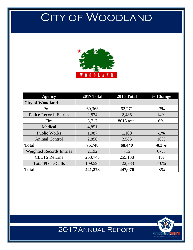## <span id="page-5-0"></span>CITY OF WOODLAND



| <b>Agency</b>                   | 2017 Total | 2016 Total | $\%$ Change |
|---------------------------------|------------|------------|-------------|
| <b>City of Woodland</b>         |            |            |             |
| Police                          | 60,363     | 62,271     | $-3\%$      |
| <b>Police Records Entries</b>   | 2,874      | 2,486      | 14%         |
| Fire                            | 3,717      | 8015 total | 6%          |
| Medical                         | 4,851      |            |             |
| <b>Public Works</b>             | 1,087      | 1,100      | $-1\%$      |
| <b>Animal Control</b>           | 2,856      | 2,583      | 10%         |
| <b>Total</b>                    | 75,748     | 68,440     | $-0.3%$     |
| <b>Weighted Records Entries</b> | 2,192      | 715        | 67%         |
| <b>CLETS</b> Returns            | 253,743    | 255,138    | 1%          |
| <b>Total Phone Calls</b>        | 109,595    | 122,783    | $-10%$      |
| <b>Total</b>                    | 441,278    | 447,076    | $-3%$       |

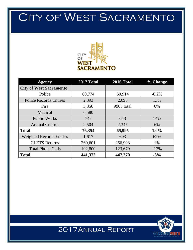## <span id="page-6-0"></span>CITY OF WEST SACRAMENTO



| <b>Agency</b>                   | 2017 Total | 2016 Total | % Change |
|---------------------------------|------------|------------|----------|
| <b>City of West Sacramento</b>  |            |            |          |
| Police                          | 60,774     | 60,914     | $-0.2%$  |
| <b>Police Records Entries</b>   | 2,393      | 2,093      | 13%      |
| Fire                            | 3,356      | 9903 total | $0\%$    |
| Medical                         | 6,580      |            |          |
| <b>Public Works</b>             | 747        | 643        | 14%      |
| <b>Animal Control</b>           | 2,504      | 2,345      | 6%       |
| <b>Total</b>                    | 76,354     | 65,995     | 1.0%     |
| <b>Weighted Records Entries</b> | 1,617      | 603        | 62%      |
| <b>CLETS</b> Returns            | 260,601    | 256,993    | 1%       |
| <b>Total Phone Calls</b>        | 102,800    | 123,679    | $-17%$   |
| <b>Total</b>                    | 441,372    | 447,270    | $-3%$    |



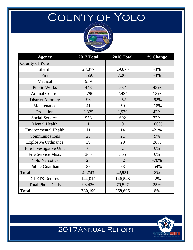## <span id="page-7-0"></span>County of Yolo



| <b>Agency</b>               | 2017 Total     | <b>2016 Total</b> | % Change |
|-----------------------------|----------------|-------------------|----------|
| <b>County of Yolo</b>       |                |                   |          |
| Sheriff                     | 28,077         | 29,070            | $-3%$    |
| Fire                        | 5,550          | 7,266             | $-4%$    |
| Medical                     | 959            |                   |          |
| <b>Public Works</b>         | 448            | 232               | 48%      |
| <b>Animal Control</b>       | 2,796          | 2,434             | 13%      |
| <b>District Attorney</b>    | 96             | 252               | $-62%$   |
| Maintenance                 | 41             | 50                | $-18%$   |
| Probation                   | 3,325          | 1,939             | 42%      |
| <b>Social Services</b>      | 953            | 692               | 27%      |
| <b>Mental Health</b>        | 1              | $\overline{0}$    | 100%     |
| <b>Environmental Health</b> | 11             | 14                | $-21%$   |
| Communications              | 23             | 21                | 9%       |
| <b>Explosive Ordinance</b>  | 39             | 29                | 26%      |
| Fire Investigative Unit     | $\overline{0}$ | $\overline{2}$    | 0%       |
| Fire Service Misc.          | 365            | 365               | 0%       |
| <b>Yolo Narcotics</b>       | 25             | 82                | $-70%$   |
| Public Guardian             | 38             | 83                | $-54%$   |
| <b>Total</b>                | 42,747         | 42,531            | 2%       |
| <b>CLETS Returns</b>        | 144,017        | 146,548           | $-2%$    |
| <b>Total Phone Calls</b>    | 93,426         | 70,527            | 25%      |
| <b>Total</b>                | 280,190        | 259,606           | 8%       |

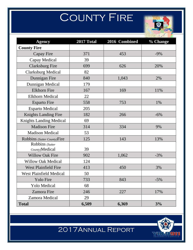# **COUNTY FIRE**



<span id="page-8-0"></span>

| <b>Agency</b>                  | 2017 Total | 2016 Combined | % Change |
|--------------------------------|------------|---------------|----------|
| <b>County Fire</b>             |            |               |          |
| Capay Fire                     | 371        | 453           | $-9%$    |
| Capay Medical                  | 39         |               |          |
| <b>Clarksburg Fire</b>         | 699        | 626           | 20%      |
| <b>Clarksburg Medical</b>      | 82         |               |          |
| Dunnigan Fire                  | 840        | 1,043         | 2%       |
| Dunnigan Medical               | 179        |               |          |
| <b>Elkhorn</b> Fire            | 167        | 169           | 11%      |
| <b>Elkhorn Medical</b>         | 22         |               |          |
| <b>Esparto Fire</b>            | 558        | 753           | $1\%$    |
| <b>Esparto Medical</b>         | 205        |               |          |
| <b>Knights Landing Fire</b>    | 182        | 266           | $-6%$    |
| <b>Knights Landing Medical</b> | 69         |               |          |
| <b>Madison Fire</b>            | 314        | 334           | 9%       |
| <b>Madison Medical</b>         | 53         |               |          |
| Robbins (Sutter County)Fire    | 125        | 143           | 13%      |
| Robbins (Sutter                |            |               |          |
| County)Medical                 | 39         |               |          |
| <b>Willow Oak Fire</b>         | 902        | 1,062         | $-3%$    |
| Willow Oak Medical             | 124        |               |          |
| <b>West Plainfield Fire</b>    | 413        | 450           | 3%       |
| <b>West Plainfield Medical</b> | 50         |               |          |
| Yolo Fire                      | 733        | 843           | $-5%$    |
| <b>Yolo Medical</b>            | 68         |               |          |
| <b>Zamora Fire</b>             | 246        | 227           | 17%      |
| Zamora Medical                 | 29         |               |          |
| <b>Total</b>                   | 6,509      | 6,369         | 3%       |

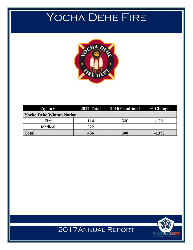## <span id="page-9-0"></span>YOCHA DEHE FIRE



| Agency                          |     | 2017 Total 2016 Combined % Change |        |
|---------------------------------|-----|-----------------------------------|--------|
| <b>Yocha Dehe Wintun Nation</b> |     |                                   |        |
| Fire                            | 114 | 500                               | $-13%$ |
| Medical                         | 322 |                                   |        |
| <b>Total</b>                    | 436 | 500                               | $-13%$ |